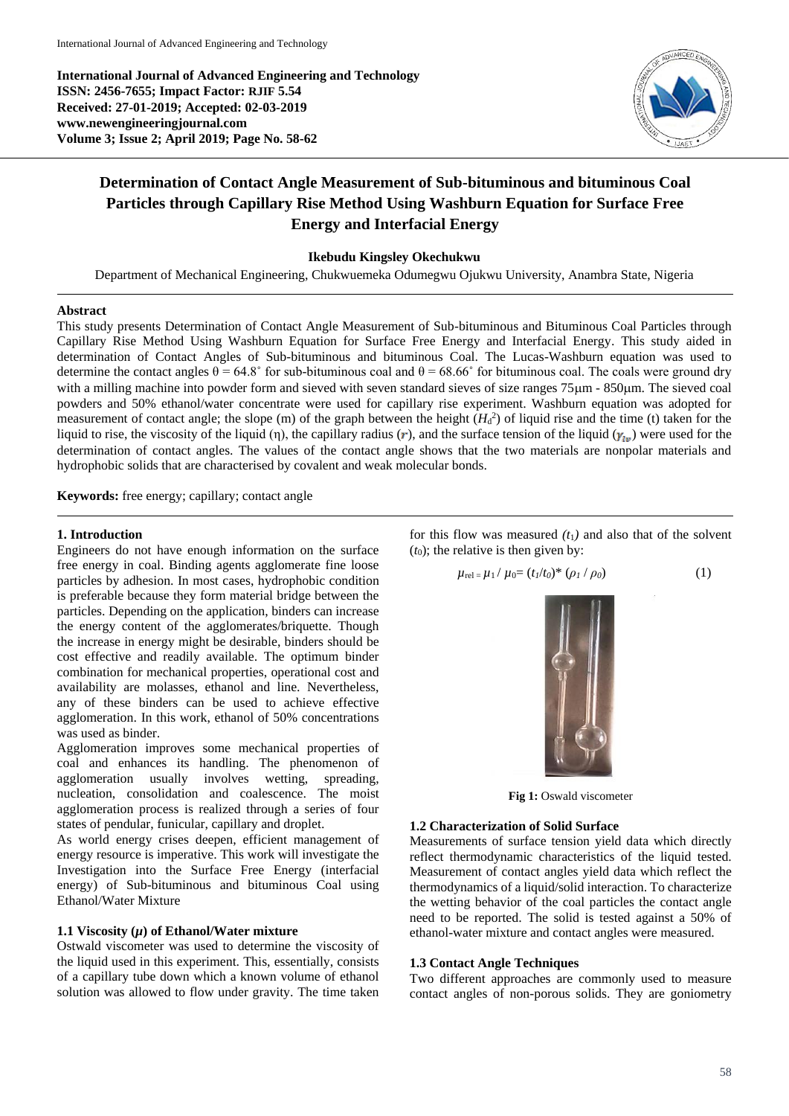**International Journal of Advanced Engineering and Technology ISSN: 2456-7655; Impact Factor: RJIF 5.54 Received: 27-01-2019; Accepted: 02-03-2019 www.newengineeringjournal.com Volume 3; Issue 2; April 2019; Page No. 58-62**



# **Determination of Contact Angle Measurement of Sub-bituminous and bituminous Coal Particles through Capillary Rise Method Using Washburn Equation for Surface Free Energy and Interfacial Energy**

# **Ikebudu Kingsley Okechukwu**

Department of Mechanical Engineering, Chukwuemeka Odumegwu Ojukwu University, Anambra State, Nigeria

# **Abstract**

This study presents Determination of Contact Angle Measurement of Sub-bituminous and Bituminous Coal Particles through Capillary Rise Method Using Washburn Equation for Surface Free Energy and Interfacial Energy. This study aided in determination of Contact Angles of Sub-bituminous and bituminous Coal. The Lucas-Washburn equation was used to determine the contact angles  $\theta = 64.8^{\circ}$  for sub-bituminous coal and  $\theta = 68.66^{\circ}$  for bituminous coal. The coals were ground dry with a milling machine into powder form and sieved with seven standard sieves of size ranges 75 $\mu$ m - 850 $\mu$ m. The sieved coal powders and 50% ethanol/water concentrate were used for capillary rise experiment. Washburn equation was adopted for measurement of contact angle; the slope  $(m)$  of the graph between the height  $(H_d^2)$  of liquid rise and the time (t) taken for the liquid to rise, the viscosity of the liquid (η), the capillary radius (r), and the surface tension of the liquid  $(\gamma_{1n})$  were used for the determination of contact angles. The values of the contact angle shows that the two materials are nonpolar materials and hydrophobic solids that are characterised by covalent and weak molecular bonds.

**Keywords:** free energy; capillary; contact angle

#### **1. Introduction**

Engineers do not have enough information on the surface free energy in coal. Binding agents agglomerate fine loose particles by adhesion. In most cases, hydrophobic condition is preferable because they form material bridge between the particles. Depending on the application, binders can increase the energy content of the agglomerates/briquette. Though the increase in energy might be desirable, binders should be cost effective and readily available. The optimum binder combination for mechanical properties, operational cost and availability are molasses, ethanol and line. Nevertheless, any of these binders can be used to achieve effective agglomeration. In this work, ethanol of 50% concentrations was used as binder.

Agglomeration improves some mechanical properties of coal and enhances its handling. The phenomenon of agglomeration usually involves wetting, spreading, agglomeration usually involves wetting, spreading, nucleation, consolidation and coalescence. The moist agglomeration process is realized through a series of four states of pendular, funicular, capillary and droplet.

As world energy crises deepen, efficient management of energy resource is imperative. This work will investigate the Investigation into the Surface Free Energy (interfacial energy) of Sub-bituminous and bituminous Coal using Ethanol/Water Mixture

#### **1.1 Viscosity (***µ***) of Ethanol/Water mixture**

Ostwald viscometer was used to determine the viscosity of the liquid used in this experiment. This, essentially, consists of a capillary tube down which a known volume of ethanol solution was allowed to flow under gravity. The time taken

for this flow was measured  $(t_1)$  and also that of the solvent  $(t_0)$ ; the relative is then given by:

$$
\mu_{\text{rel}} = \mu_1 / \mu_0 = (t_1/t_0)^* (\rho_1 / \rho_0)
$$
 (1)



**Fig 1:** Oswald viscometer

#### **1.2 Characterization of Solid Surface**

Measurements of surface tension yield data which directly reflect thermodynamic characteristics of the liquid tested. Measurement of contact angles yield data which reflect the thermodynamics of a liquid/solid interaction. To characterize the wetting behavior of the coal particles the contact angle need to be reported. The solid is tested against a 50% of ethanol-water mixture and contact angles were measured.

### **1.3 Contact Angle Techniques**

Two different approaches are commonly used to measure contact angles of non-porous solids. They are goniometry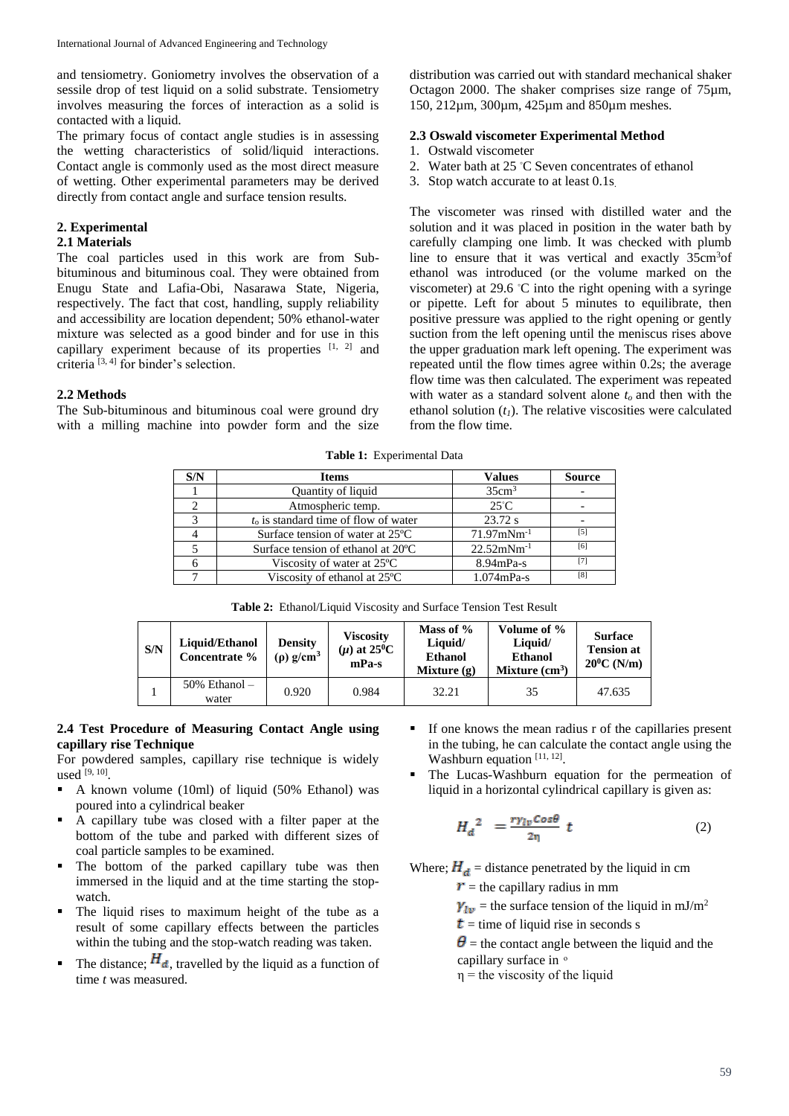and tensiometry. Goniometry involves the observation of a sessile drop of test liquid on a solid substrate. Tensiometry involves measuring the forces of interaction as a solid is contacted with a liquid.

The primary focus of contact angle studies is in assessing the wetting characteristics of solid/liquid interactions. Contact angle is commonly used as the most direct measure of wetting. Other experimental parameters may be derived directly from contact angle and surface tension results.

# **2. Experimental**

# **2.1 Materials**

The coal particles used in this work are from Subbituminous and bituminous coal. They were obtained from Enugu State and Lafia-Obi, Nasarawa State, Nigeria, respectively. The fact that cost, handling, supply reliability and accessibility are location dependent; 50% ethanol-water mixture was selected as a good binder and for use in this capillary experiment because of its properties  $[1, 2]$  and criteria [3, 4] for binder's selection.

# **2.2 Methods**

The Sub-bituminous and bituminous coal were ground dry with a milling machine into powder form and the size distribution was carried out with standard mechanical shaker Octagon 2000. The shaker comprises size range of 75µm, 150, 212µm, 300µm, 425µm and 850µm meshes.

# **2.3 Oswald viscometer Experimental Method**

- 1. Ostwald viscometer
- 2. Water bath at 25 ◦C Seven concentrates of ethanol
- 3. Stop watch accurate to at least 0.1s.

The viscometer was rinsed with distilled water and the solution and it was placed in position in the water bath by carefully clamping one limb. It was checked with plumb line to ensure that it was vertical and exactly 35cm<sup>3</sup>of ethanol was introduced (or the volume marked on the viscometer) at 29.6 ◦C into the right opening with a syringe or pipette. Left for about 5 minutes to equilibrate, then positive pressure was applied to the right opening or gently suction from the left opening until the meniscus rises above the upper graduation mark left opening. The experiment was repeated until the flow times agree within 0.2s; the average flow time was then calculated. The experiment was repeated with water as a standard solvent alone *to* and then with the ethanol solution  $(t<sub>l</sub>)$ . The relative viscosities were calculated from the flow time.

**Table 1:** Experimental Data

| S/N | <b>Items</b>                              | <b>Values</b>             | <b>Source</b> |
|-----|-------------------------------------------|---------------------------|---------------|
|     | Quantity of liquid                        | 35cm <sup>3</sup>         |               |
|     | Atmospheric temp.                         | $25^{\circ}$ C            |               |
| 2   | $t_0$ is standard time of flow of water   | 23.72 s                   |               |
|     | Surface tension of water at 25 °C         | $71.97$ mNm <sup>-1</sup> | [5]           |
|     | Surface tension of ethanol at 20 °C       | $22.52$ mNm <sup>-1</sup> | [6]           |
|     | Viscosity of water at $25^{\circ}$ C      | $8.94mPa-s$               | [7]           |
|     | Viscosity of ethanol at 25 <sup>o</sup> C | $1.074$ mPa-s             | [8]           |

| <b>Table 2:</b> Ethanol/Liquid Viscosity and Surface Tension Test Result |  |
|--------------------------------------------------------------------------|--|
|--------------------------------------------------------------------------|--|

| S/N |  | Liquid/Ethanol<br>Concentrate % | Density<br>$(\rho)$ g/cm <sup>3</sup> | Mass of %<br><b>Viscosity</b><br>Liquid/<br>$(\mu)$ at 25 <sup>0</sup> C<br><b>Ethanol</b><br>$mPa-s$<br>Mixture $(g)$ |       | Volume of %<br>Liquid/<br><b>Ethanol</b><br>Mixture $(cm3)$ | <b>Surface</b><br><b>Tension at</b><br>$20^0$ C (N/m) |  |
|-----|--|---------------------------------|---------------------------------------|------------------------------------------------------------------------------------------------------------------------|-------|-------------------------------------------------------------|-------------------------------------------------------|--|
|     |  | $50\%$ Ethanol $-$<br>water     | 0.920                                 | 0.984                                                                                                                  | 32.21 | 35                                                          | 47.635                                                |  |

#### **2.4 Test Procedure of Measuring Contact Angle using capillary rise Technique**

For powdered samples, capillary rise technique is widely used [9, 10] .

- A known volume  $(10ml)$  of liquid  $(50\%$  Ethanol) was poured into a cylindrical beaker
- A capillary tube was closed with a filter paper at the bottom of the tube and parked with different sizes of coal particle samples to be examined.
- **•** The bottom of the parked capillary tube was then immersed in the liquid and at the time starting the stopwatch.
- The liquid rises to maximum height of the tube as a result of some capillary effects between the particles within the tubing and the stop-watch reading was taken.
- The distance;  $H_d$ , travelled by the liquid as a function of time *t* was measured.
- If one knows the mean radius r of the capillaries present in the tubing, he can calculate the contact angle using the Washburn equation  $[11, 12]$ .
- The Lucas-Washburn equation for the permeation of liquid in a horizontal cylindrical capillary is given as:

$$
H_d^2 = \frac{r \gamma_{lv} \cos \theta}{2\eta} t \tag{2}
$$

Where;  $H_d$  = distance penetrated by the liquid in cm

 $r =$  the capillary radius in mm

 $\gamma_{1\nu}$  = the surface tension of the liquid in mJ/m<sup>2</sup>

 $t =$  time of liquid rise in seconds s

 $\theta$  = the contact angle between the liquid and the capillary surface in  $\circ$ 

 $\eta$  = the viscosity of the liquid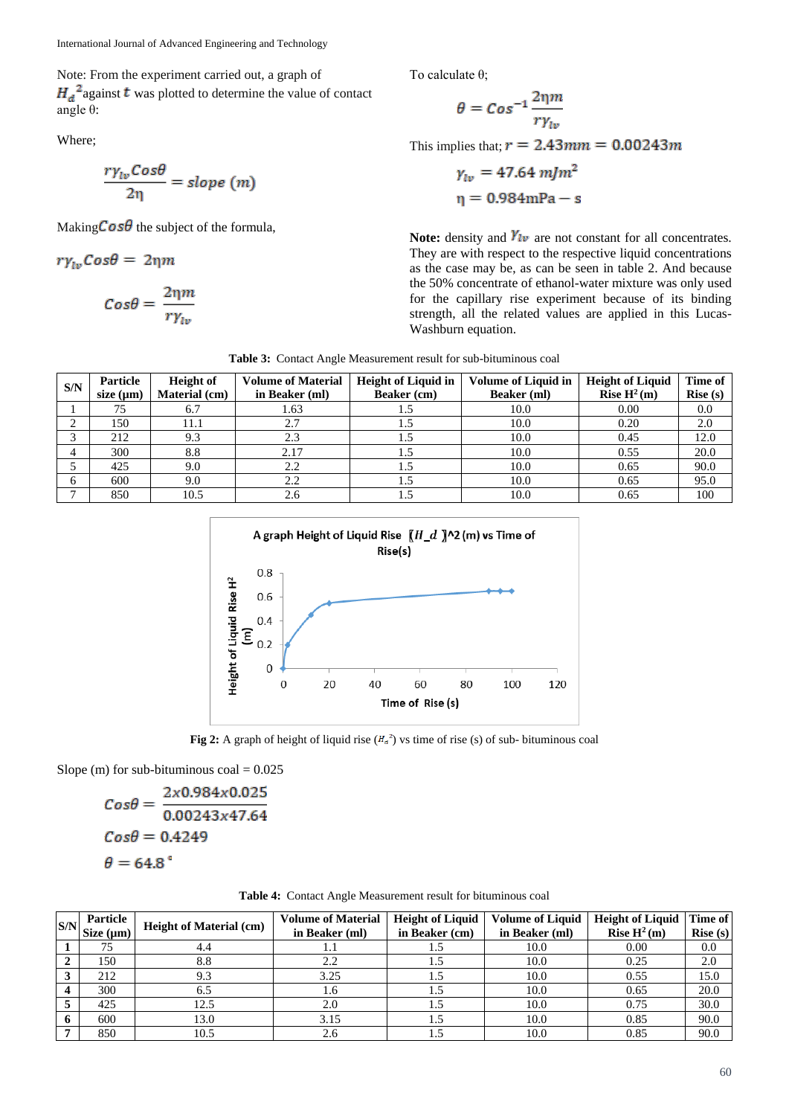Note: From the experiment carried out, a graph of  $H_d^2$  against **t** was plotted to determine the value of contact angle θ:

Where;

$$
\frac{r\gamma_{lv}Cos\theta}{2\eta} = slope (m)
$$

Making  $\cos\theta$  the subject of the formula.

$$
r\gamma_{lv}Cos\theta = 2\eta m
$$

$$
Cos\theta = \frac{2\eta m}{r\gamma_{lv}}
$$

To calculate θ;

$$
\theta = Cos^{-1}\frac{2\eta m}{r\gamma_{lv}}
$$

This implies that;  $r = 2.43$  mm = 0.00243m

$$
\gamma_{lv} = 47.64 \text{ mJ}m^2
$$

$$
\eta = 0.984 \text{ mPa} - \text{s}
$$

**Note:** density and  $\gamma_{lv}$  are not constant for all concentrates. They are with respect to the respective liquid concentrations as the case may be, as can be seen in table 2. And because the 50% concentrate of ethanol-water mixture was only used for the capillary rise experiment because of its binding strength, all the related values are applied in this Lucas-Washburn equation.

**Table 3:** Contact Angle Measurement result for sub-bituminous coal

| S/N | Particle<br>size $(\mu m)$ | <b>Height</b> of<br>Material (cm) | <b>Volume of Material</b><br>in Beaker (ml) | <b>Height of Liquid in</b><br>Beaker (cm) | <b>Volume of Liquid in</b><br><b>Beaker</b> (ml) | <b>Height of Liquid</b><br>Rise $H^2(m)$ | Time of<br>Rise(s) |
|-----|----------------------------|-----------------------------------|---------------------------------------------|-------------------------------------------|--------------------------------------------------|------------------------------------------|--------------------|
|     | 75                         | 6.7                               | 1.63                                        |                                           | 10.0                                             | 0.00                                     | 0.0                |
|     | 150                        | 11.1                              | 2.7                                         |                                           | 10.0                                             | 0.20                                     | 2.0                |
|     | 212                        | 9.3                               | 2.3                                         | 1.5                                       | 10.0                                             | 0.45                                     | 12.0               |
|     | 300                        | 8.8                               | 2.17                                        | L.C                                       | 10.0                                             | 0.55                                     | 20.0               |
|     | 425                        | 9.0                               | 2.2                                         |                                           | 10.0                                             | 0.65                                     | 90.0               |
|     | 600                        | 9.0                               | 2.2                                         |                                           | 10.0                                             | 0.65                                     | 95.0               |
|     | 850                        | 10.5                              | 2.6                                         |                                           | 10.0                                             | 0.65                                     | 100                |



**Fig 2:** A graph of height of liquid rise  $(H_a^2)$  vs time of rise (s) of sub- bituminous coal

Slope (m) for sub-bituminous  $\text{coal} = 0.025$ 

$$
Cos\theta = \frac{2x0.984x0.025}{0.00243x47.64}
$$

$$
Cos\theta = 0.4249
$$

$$
\theta = 64.8°
$$

|  |  |  |  |  |  | Table 4: Contact Angle Measurement result for bituminous coal |  |
|--|--|--|--|--|--|---------------------------------------------------------------|--|
|--|--|--|--|--|--|---------------------------------------------------------------|--|

| S/N | Particle<br>Size $(\mu m)$ | <b>Height of Material (cm)</b> | <b>Volume of Material</b><br>in Beaker (ml) | <b>Height of Liquid</b><br>in Beaker (cm) | <b>Volume of Liquid</b><br>in Beaker (ml) | <b>Height of Liquid</b><br>Rise $H^2(m)$ | Time of<br>Rise(s) |
|-----|----------------------------|--------------------------------|---------------------------------------------|-------------------------------------------|-------------------------------------------|------------------------------------------|--------------------|
|     |                            | 4.4                            | 1.1                                         | L.)                                       | 10.0                                      | 0.00                                     | 0.0                |
|     | 150                        | 8.8                            | 2.2                                         | 1.5                                       | 10.0                                      | 0.25                                     | 2.0                |
|     | 212                        | 9.3                            | 3.25                                        | 1.5                                       | 10.0                                      | 0.55                                     | 15.0               |
|     | 300                        | 6.5                            | 1.6                                         | 1.5                                       | 10.0                                      | 0.65                                     | 20.0               |
|     | 425                        | 12.5                           | 2.0                                         | 1.5                                       | 10.0                                      | 0.75                                     | 30.0               |
| Ð   | 600                        | 13.0                           | 3.15                                        | 1.5                                       | 10.0                                      | 0.85                                     | 90.0               |
|     | 850                        | 10.5                           | 2.6                                         | 1.5                                       | 10.0                                      | 0.85                                     | 90.0               |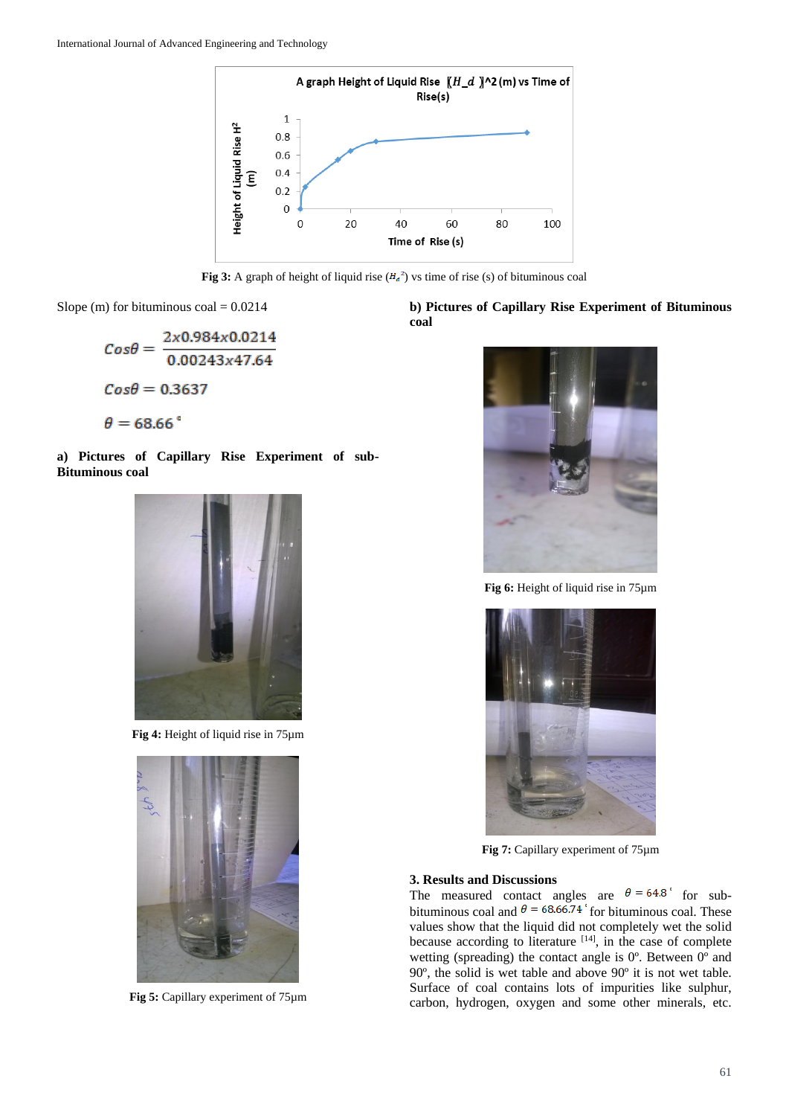

**Fig 3:** A graph of height of liquid rise  $(H_a^2)$  vs time of rise (s) of bituminous coal

Slope (m) for bituminous  $\text{coal} = 0.0214$ 

$$
Cos\theta = \frac{2 \times 0.984 \times 0.0214}{0.00243 \times 47.64}
$$

$$
Cos\theta = 0.3637
$$

$$
\theta = 68.66^{\circ}
$$

**a) Pictures of Capillary Rise Experiment of sub-Bituminous coal**



**Fig 4:** Height of liquid rise in 75µm



**Fig 5:** Capillary experiment of 75µm

# **b) Pictures of Capillary Rise Experiment of Bituminous coal**



**Fig 6:** Height of liquid rise in 75µm



**Fig 7:** Capillary experiment of 75µm

### **3. Results and Discussions**

The measured contact angles are  $\theta = 64.8$  for subbituminous coal and  $\theta = 68.66.74$  for bituminous coal. These values show that the liquid did not completely wet the solid because according to literature  $[14]$ , in the case of complete wetting (spreading) the contact angle is  $0^\circ$ . Between  $0^\circ$  and 90º, the solid is wet table and above 90º it is not wet table. Surface of coal contains lots of impurities like sulphur, carbon, hydrogen, oxygen and some other minerals, etc.